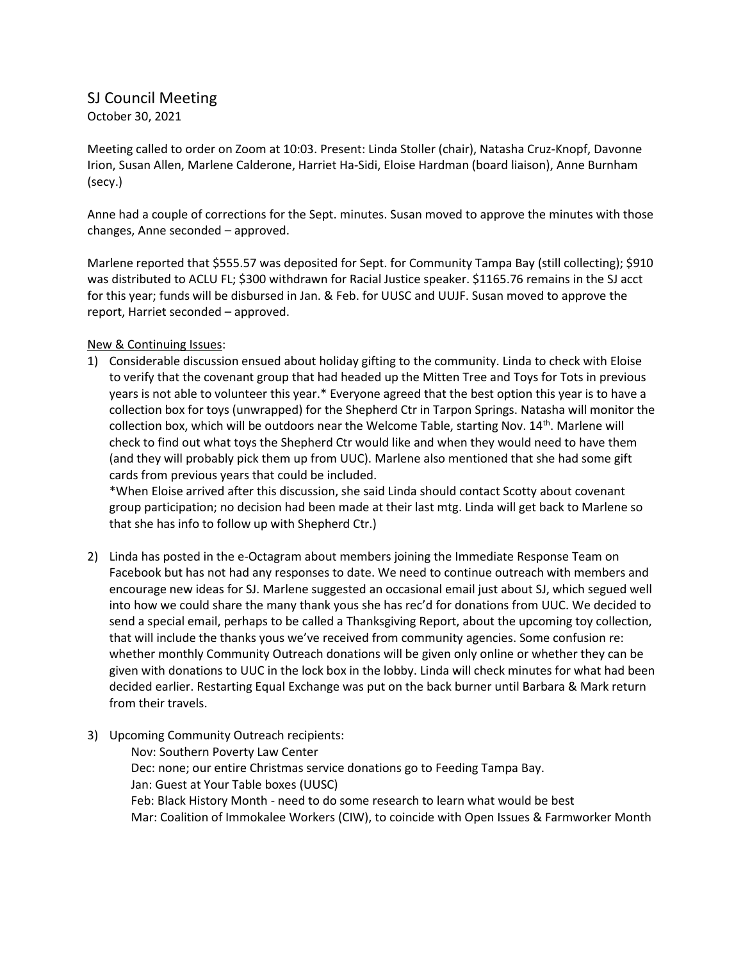## SJ Council Meeting

October 30, 2021

Meeting called to order on Zoom at 10:03. Present: Linda Stoller (chair), Natasha Cruz-Knopf, Davonne Irion, Susan Allen, Marlene Calderone, Harriet Ha-Sidi, Eloise Hardman (board liaison), Anne Burnham (secy.)

Anne had a couple of corrections for the Sept. minutes. Susan moved to approve the minutes with those changes, Anne seconded – approved.

Marlene reported that \$555.57 was deposited for Sept. for Community Tampa Bay (still collecting); \$910 was distributed to ACLU FL; \$300 withdrawn for Racial Justice speaker. \$1165.76 remains in the SJ acct for this year; funds will be disbursed in Jan. & Feb. for UUSC and UUJF. Susan moved to approve the report, Harriet seconded – approved.

## New & Continuing Issues:

1) Considerable discussion ensued about holiday gifting to the community. Linda to check with Eloise to verify that the covenant group that had headed up the Mitten Tree and Toys for Tots in previous years is not able to volunteer this year.\* Everyone agreed that the best option this year is to have a collection box for toys (unwrapped) for the Shepherd Ctr in Tarpon Springs. Natasha will monitor the collection box, which will be outdoors near the Welcome Table, starting Nov.  $14<sup>th</sup>$ . Marlene will check to find out what toys the Shepherd Ctr would like and when they would need to have them (and they will probably pick them up from UUC). Marlene also mentioned that she had some gift cards from previous years that could be included.

\*When Eloise arrived after this discussion, she said Linda should contact Scotty about covenant group participation; no decision had been made at their last mtg. Linda will get back to Marlene so that she has info to follow up with Shepherd Ctr.)

- 2) Linda has posted in the e-Octagram about members joining the Immediate Response Team on Facebook but has not had any responses to date. We need to continue outreach with members and encourage new ideas for SJ. Marlene suggested an occasional email just about SJ, which segued well into how we could share the many thank yous she has rec'd for donations from UUC. We decided to send a special email, perhaps to be called a Thanksgiving Report, about the upcoming toy collection, that will include the thanks yous we've received from community agencies. Some confusion re: whether monthly Community Outreach donations will be given only online or whether they can be given with donations to UUC in the lock box in the lobby. Linda will check minutes for what had been decided earlier. Restarting Equal Exchange was put on the back burner until Barbara & Mark return from their travels.
- 3) Upcoming Community Outreach recipients:

Nov: Southern Poverty Law Center Dec: none; our entire Christmas service donations go to Feeding Tampa Bay. Jan: Guest at Your Table boxes (UUSC) Feb: Black History Month - need to do some research to learn what would be best Mar: Coalition of Immokalee Workers (CIW), to coincide with Open Issues & Farmworker Month